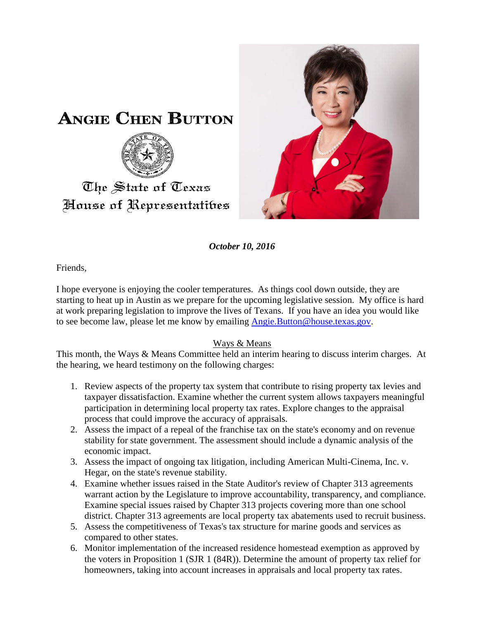

*October 10, 2016*

Friends,

I hope everyone is enjoying the cooler temperatures. As things cool down outside, they are starting to heat up in Austin as we prepare for the upcoming legislative session. My office is hard at work preparing legislation to improve the lives of Texans. If you have an idea you would like to see become law, please let me know by emailing [Angie.Button@house.texas.gov.](mailto:Angie.Button@house.texas.gov)

## Ways & Means

This month, the Ways & Means Committee held an interim hearing to discuss interim charges. At the hearing, we heard testimony on the following charges:

- 1. Review aspects of the property tax system that contribute to rising property tax levies and taxpayer dissatisfaction. Examine whether the current system allows taxpayers meaningful participation in determining local property tax rates. Explore changes to the appraisal process that could improve the accuracy of appraisals.
- 2. Assess the impact of a repeal of the franchise tax on the state's economy and on revenue stability for state government. The assessment should include a dynamic analysis of the economic impact.
- 3. Assess the impact of ongoing tax litigation, including American Multi-Cinema, Inc. v. Hegar, on the state's revenue stability.
- 4. Examine whether issues raised in the State Auditor's review of Chapter 313 agreements warrant action by the Legislature to improve accountability, transparency, and compliance. Examine special issues raised by Chapter 313 projects covering more than one school district. Chapter 313 agreements are local property tax abatements used to recruit business.
- 5. Assess the competitiveness of Texas's tax structure for marine goods and services as compared to other states.
- 6. Monitor implementation of the increased residence homestead exemption as approved by the voters in Proposition 1 (SJR 1 (84R)). Determine the amount of property tax relief for homeowners, taking into account increases in appraisals and local property tax rates.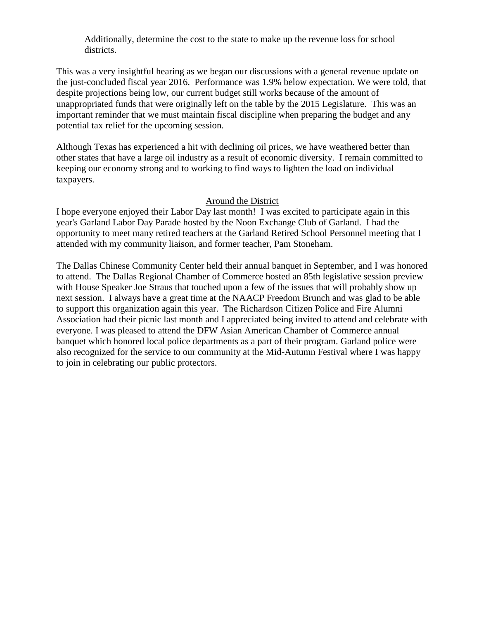Additionally, determine the cost to the state to make up the revenue loss for school districts.

This was a very insightful hearing as we began our discussions with a general revenue update on the just-concluded fiscal year 2016. Performance was 1.9% below expectation. We were told, that despite projections being low, our current budget still works because of the amount of unappropriated funds that were originally left on the table by the 2015 Legislature. This was an important reminder that we must maintain fiscal discipline when preparing the budget and any potential tax relief for the upcoming session.

Although Texas has experienced a hit with declining oil prices, we have weathered better than other states that have a large oil industry as a result of economic diversity. I remain committed to keeping our economy strong and to working to find ways to lighten the load on individual taxpayers.

## Around the District

I hope everyone enjoyed their Labor Day last month! I was excited to participate again in this year's Garland Labor Day Parade hosted by the Noon Exchange Club of Garland. I had the opportunity to meet many retired teachers at the Garland Retired School Personnel meeting that I attended with my community liaison, and former teacher, Pam Stoneham.

The Dallas Chinese Community Center held their annual banquet in September, and I was honored to attend. The Dallas Regional Chamber of Commerce hosted an 85th legislative session preview with House Speaker Joe Straus that touched upon a few of the issues that will probably show up next session. I always have a great time at the NAACP Freedom Brunch and was glad to be able to support this organization again this year. The Richardson Citizen Police and Fire Alumni Association had their picnic last month and I appreciated being invited to attend and celebrate with everyone. I was pleased to attend the DFW Asian American Chamber of Commerce annual banquet which honored local police departments as a part of their program. Garland police were also recognized for the service to our community at the Mid-Autumn Festival where I was happy to join in celebrating our public protectors.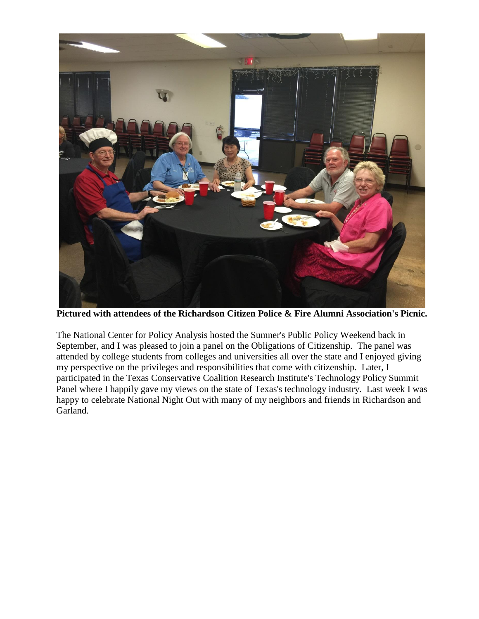

**Pictured with attendees of the Richardson Citizen Police & Fire Alumni Association's Picnic.**

The National Center for Policy Analysis hosted the Sumner's Public Policy Weekend back in September, and I was pleased to join a panel on the Obligations of Citizenship. The panel was attended by college students from colleges and universities all over the state and I enjoyed giving my perspective on the privileges and responsibilities that come with citizenship. Later, I participated in the Texas Conservative Coalition Research Institute's Technology Policy Summit Panel where I happily gave my views on the state of Texas's technology industry. Last week I was happy to celebrate National Night Out with many of my neighbors and friends in Richardson and Garland.